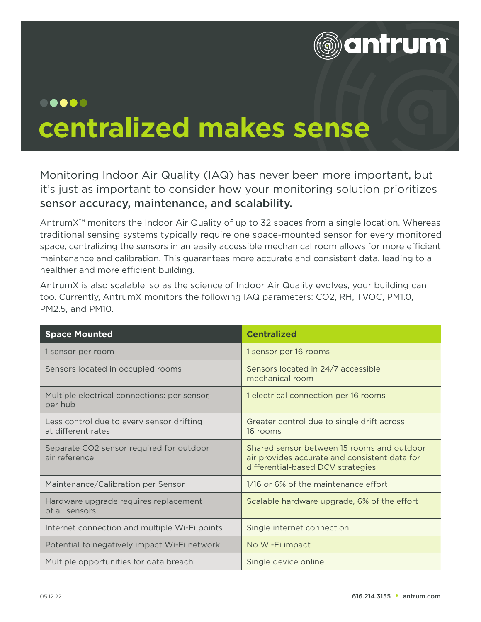

## ..... **centralized makes sense**

Monitoring Indoor Air Quality (IAQ) has never been more important, but it's just as important to consider how your monitoring solution prioritizes sensor accuracy, maintenance, and scalability.

AntrumX™ monitors the Indoor Air Quality of up to 32 spaces from a single location. Whereas traditional sensing systems typically require one space-mounted sensor for every monitored space, centralizing the sensors in an easily accessible mechanical room allows for more efficient maintenance and calibration. This guarantees more accurate and consistent data, leading to a healthier and more efficient building.

AntrumX is also scalable, so as the science of Indoor Air Quality evolves, your building can too. Currently, AntrumX monitors the following IAQ parameters: CO2, RH, TVOC, PM1.0, PM2.5, and PM10.

| <b>Space Mounted</b>                                            | <b>Centralized</b>                                                                                                               |
|-----------------------------------------------------------------|----------------------------------------------------------------------------------------------------------------------------------|
| 1 sensor per room                                               | 1 sensor per 16 rooms                                                                                                            |
| Sensors located in occupied rooms                               | Sensors located in 24/7 accessible<br>mechanical room                                                                            |
| Multiple electrical connections: per sensor,<br>per hub         | 1 electrical connection per 16 rooms                                                                                             |
| Less control due to every sensor drifting<br>at different rates | Greater control due to single drift across<br>16 rooms                                                                           |
| Separate CO2 sensor required for outdoor<br>air reference       | Shared sensor between 15 rooms and outdoor<br>air provides accurate and consistent data for<br>differential-based DCV strategies |
| Maintenance/Calibration per Sensor                              | 1/16 or 6% of the maintenance effort                                                                                             |
| Hardware upgrade requires replacement<br>of all sensors         | Scalable hardware upgrade, 6% of the effort                                                                                      |
| Internet connection and multiple Wi-Fi points                   | Single internet connection                                                                                                       |
| Potential to negatively impact Wi-Fi network                    | No Wi-Fi impact                                                                                                                  |
| Multiple opportunities for data breach                          | Single device online                                                                                                             |